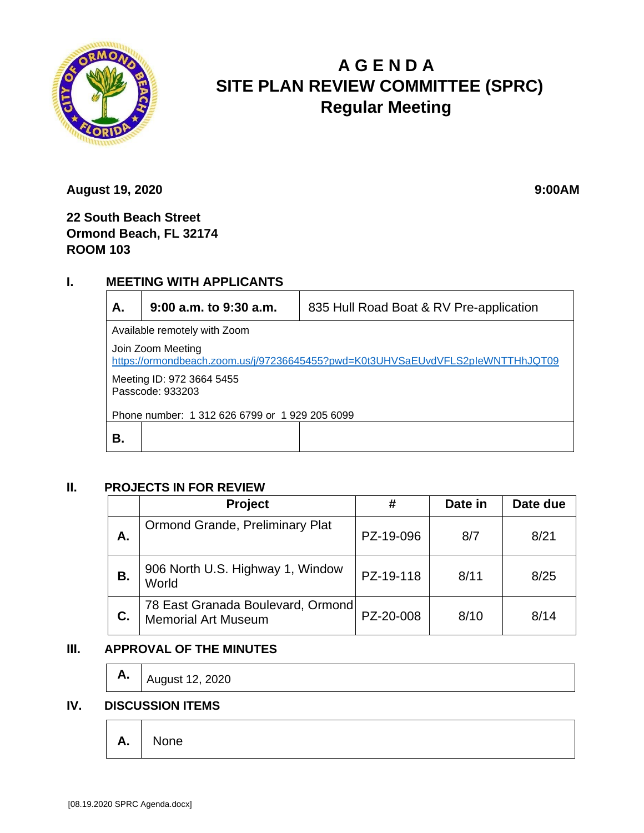

# **A G E N D A SITE PLAN REVIEW COMMITTEE (SPRC) Regular Meeting**

**August 19, 2020** 9:00AM

**22 South Beach Street Ormond Beach, FL 32174 ROOM 103**

# **I. MEETING WITH APPLICANTS**

| А.                                                                                                  | $9:00$ a.m. to $9:30$ a.m. | 835 Hull Road Boat & RV Pre-application |  |  |  |
|-----------------------------------------------------------------------------------------------------|----------------------------|-----------------------------------------|--|--|--|
| Available remotely with Zoom                                                                        |                            |                                         |  |  |  |
| Join Zoom Meeting<br>https://ormondbeach.zoom.us/j/97236645455?pwd=K0t3UHVSaEUvdVFLS2pleWNTTHhJQT09 |                            |                                         |  |  |  |
| Meeting ID: 972 3664 5455<br>Passcode: 933203                                                       |                            |                                         |  |  |  |
| Phone number: 1 312 626 6799 or 1 929 205 6099                                                      |                            |                                         |  |  |  |
| В.                                                                                                  |                            |                                         |  |  |  |

#### **II. PROJECTS IN FOR REVIEW**

|    | Project                                                         | #         | Date in | Date due |
|----|-----------------------------------------------------------------|-----------|---------|----------|
| А. | Ormond Grande, Preliminary Plat                                 | PZ-19-096 | 8/7     | 8/21     |
| В. | 906 North U.S. Highway 1, Window<br>World                       | PZ-19-118 | 8/11    | 8/25     |
| C. | 78 East Granada Boulevard, Ormond<br><b>Memorial Art Museum</b> | PZ-20-008 | 8/10    | 8/14     |

## **III. APPROVAL OF THE MINUTES**

**A.** | August 12, 2020

## **IV. DISCUSSION ITEMS**

**A.** None